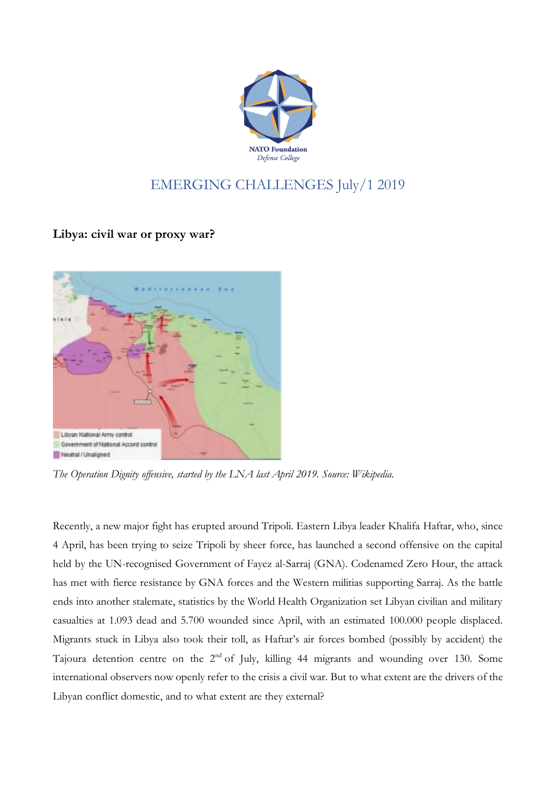

## EMERGING CHALLENGES July/1 2019

**Libya: civil war or proxy war?**



*The Operation Dignity offensive, started by the LNA last April 2019. Source: Wikipedia.*

Recently, a new major fight has erupted around Tripoli. Eastern Libya leader Khalifa Haftar, who, since 4 April, has been trying to seize Tripoli by sheer force, has launched a second offensive on the capital held by the UN-recognised Government of Fayez al-Sarraj (GNA). Codenamed Zero Hour, the attack has met with fierce resistance by GNA forces and the Western militias supporting Sarraj. As the battle ends into another stalemate, statistics by the World Health Organization set Libyan civilian and military casualties at 1.093 dead and 5.700 wounded since April, with an estimated 100.000 people displaced. Migrants stuck in Libya also took their toll, as Haftar's air forces bombed (possibly by accident) the Tajoura detention centre on the 2nd of July, killing 44 migrants and wounding over 130. Some international observers now openly refer to the crisis a civil war. But to what extent are the drivers of the Libyan conflict domestic, and to what extent are they external?